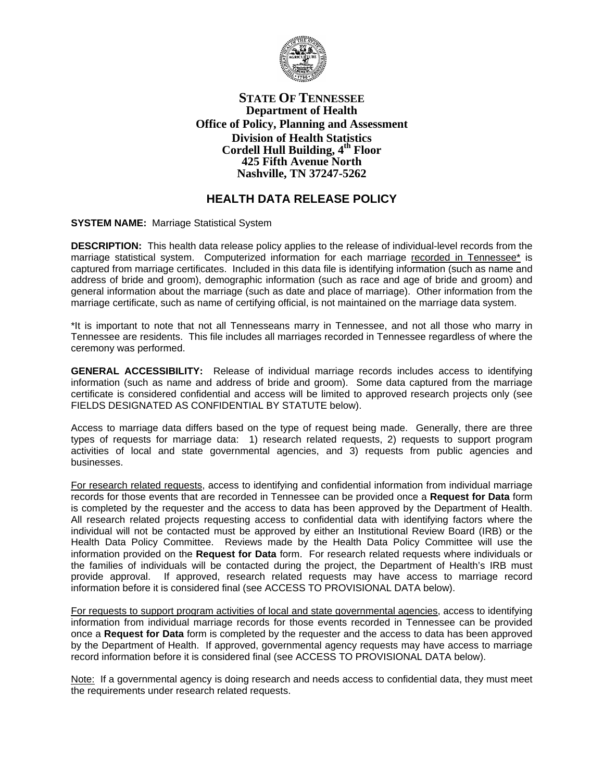

## **STATE OF TENNESSEE Department of Health Office of Policy, Planning and Assessment Division of Health Statistics Cordell Hull Building, 4th Floor 425 Fifth Avenue North Nashville, TN 37247-5262**

# **HEALTH DATA RELEASE POLICY**

**SYSTEM NAME:** Marriage Statistical System

**DESCRIPTION:** This health data release policy applies to the release of individual-level records from the marriage statistical system. Computerized information for each marriage recorded in Tennessee\* is captured from marriage certificates. Included in this data file is identifying information (such as name and address of bride and groom), demographic information (such as race and age of bride and groom) and general information about the marriage (such as date and place of marriage). Other information from the marriage certificate, such as name of certifying official, is not maintained on the marriage data system.

\*It is important to note that not all Tennesseans marry in Tennessee, and not all those who marry in Tennessee are residents. This file includes all marriages recorded in Tennessee regardless of where the ceremony was performed.

**GENERAL ACCESSIBILITY:** Release of individual marriage records includes access to identifying information (such as name and address of bride and groom). Some data captured from the marriage certificate is considered confidential and access will be limited to approved research projects only (see FIELDS DESIGNATED AS CONFIDENTIAL BY STATUTE below).

Access to marriage data differs based on the type of request being made. Generally, there are three types of requests for marriage data: 1) research related requests, 2) requests to support program activities of local and state governmental agencies, and 3) requests from public agencies and businesses.

For research related requests, access to identifying and confidential information from individual marriage records for those events that are recorded in Tennessee can be provided once a **Request for Data** form is completed by the requester and the access to data has been approved by the Department of Health. All research related projects requesting access to confidential data with identifying factors where the individual will not be contacted must be approved by either an Institutional Review Board (IRB) or the Health Data Policy Committee. Reviews made by the Health Data Policy Committee will use the information provided on the **Request for Data** form. For research related requests where individuals or the families of individuals will be contacted during the project, the Department of Health's IRB must provide approval. If approved, research related requests may have access to marriage record information before it is considered final (see ACCESS TO PROVISIONAL DATA below).

For requests to support program activities of local and state governmental agencies, access to identifying information from individual marriage records for those events recorded in Tennessee can be provided once a **Request for Data** form is completed by the requester and the access to data has been approved by the Department of Health. If approved, governmental agency requests may have access to marriage record information before it is considered final (see ACCESS TO PROVISIONAL DATA below).

Note: If a governmental agency is doing research and needs access to confidential data, they must meet the requirements under research related requests.